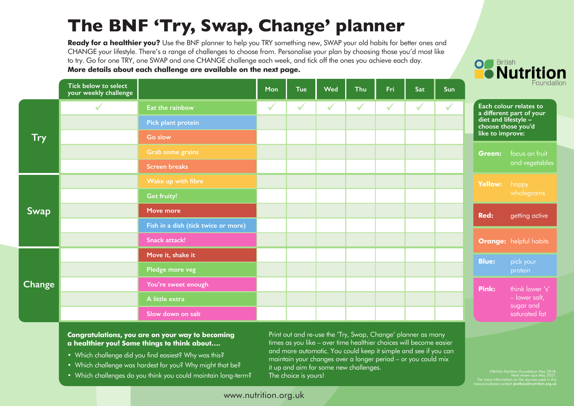## **The BNF 'Try, Swap, Change' planner**

Ready for a healthier you? Use the BNF planner to help you TRY something new, SWAP your old habits for better ones and CHANGE your lifestyle. There's a range of challenges to choose from. Personalise your plan by choosing those you'd most like to try. Go for one TRY, one SWAP and one CHANGE challenge each week, and tick off the ones you achieve each day. **More details about each challenge are available on the next page.**



|               | Tick below to select<br>your weekly challenge |                                     | Mon          | <b>Tue</b>   | <b>Wed</b>   | <b>Thu</b>   | Fri          | Sat          | Sun          | Foundati         |                                                                        |
|---------------|-----------------------------------------------|-------------------------------------|--------------|--------------|--------------|--------------|--------------|--------------|--------------|------------------|------------------------------------------------------------------------|
| <b>Try</b>    |                                               | Eat the rainbow                     | $\checkmark$ | $\checkmark$ | $\checkmark$ | $\checkmark$ | $\checkmark$ | $\checkmark$ | $\checkmark$ |                  | Each colour relates to                                                 |
|               |                                               | Pick plant protein                  |              |              |              |              |              |              |              |                  | a different part of your<br>diet and lifestyle -<br>choose those you'd |
|               |                                               | Go slow                             |              |              |              |              |              |              |              | like to improve: |                                                                        |
|               |                                               | <b>Grab some grains</b>             |              |              |              |              |              |              |              | Green:           | focus on fruit<br>and vegetables                                       |
|               |                                               | <b>Screen breaks</b>                |              |              |              |              |              |              |              |                  |                                                                        |
| Swap          |                                               | Wake up with fibre                  |              |              |              |              |              |              |              | Yellow:          | happy<br>wholegrains                                                   |
|               |                                               | <b>Get fruity!</b>                  |              |              |              |              |              |              |              |                  |                                                                        |
|               |                                               | Move more                           |              |              |              |              |              |              |              | <b>Red:</b>      | getting active                                                         |
|               |                                               | Fish in a dish (tick twice or more) |              |              |              |              |              |              |              |                  |                                                                        |
|               |                                               | <b>Snack attack!</b>                |              |              |              |              |              |              |              |                  | <b>Orange:</b> helpful habits                                          |
| <b>Change</b> |                                               | Move it, shake it                   |              |              |              |              |              |              |              | <b>Blue:</b>     | pick your<br>protein                                                   |
|               |                                               | Pledge more veg                     |              |              |              |              |              |              |              |                  |                                                                        |
|               |                                               | You're sweet enough                 |              |              |              |              |              |              |              | Pink:            | think lower 's'<br>- lower salt,<br>sugar and<br>saturated fat         |
|               |                                               | A little extra                      |              |              |              |              |              |              |              |                  |                                                                        |
|               |                                               | Slow down on salt                   |              |              |              |              |              |              |              |                  |                                                                        |

**Congratulations, you are on your way to becoming a healthier you! Some things to think about….**

- Which challenge did you find easiest? Why was this?
- Which challenge was hardest for you? Why might that be?
- Which challenges do you think you could maintain long-term?

Print out and re-use the 'Try, Swap, Change' planner as many times as you like – over time healthier choices will become easier and more automatic. You could keep it simple and see if you can maintain your changes over a longer period – or you could mix it up and aim for some new challenges. The choice is yours!